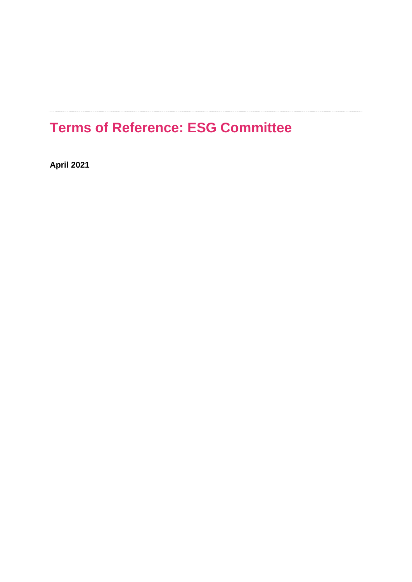# **Terms of Reference: ESG Committee**

**April 2021**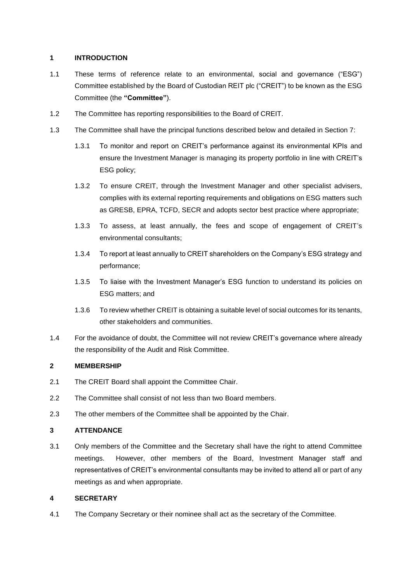# **1 INTRODUCTION**

- 1.1 These terms of reference relate to an environmental, social and governance ("ESG") Committee established by the Board of Custodian REIT plc ("CREIT") to be known as the ESG Committee (the **"Committee"**).
- 1.2 The Committee has reporting responsibilities to the Board of CREIT.
- 1.3 The Committee shall have the principal functions described below and detailed in Section 7:
	- 1.3.1 To monitor and report on CREIT's performance against its environmental KPIs and ensure the Investment Manager is managing its property portfolio in line with CREIT's ESG policy;
	- 1.3.2 To ensure CREIT, through the Investment Manager and other specialist advisers, complies with its external reporting requirements and obligations on ESG matters such as GRESB, EPRA, TCFD, SECR and adopts sector best practice where appropriate;
	- 1.3.3 To assess, at least annually, the fees and scope of engagement of CREIT's environmental consultants;
	- 1.3.4 To report at least annually to CREIT shareholders on the Company's ESG strategy and performance;
	- 1.3.5 To liaise with the Investment Manager's ESG function to understand its policies on ESG matters; and
	- 1.3.6 To review whether CREIT is obtaining a suitable level of social outcomes for its tenants, other stakeholders and communities.
- 1.4 For the avoidance of doubt, the Committee will not review CREIT's governance where already the responsibility of the Audit and Risk Committee.

# **2 MEMBERSHIP**

- 2.1 The CREIT Board shall appoint the Committee Chair.
- 2.2 The Committee shall consist of not less than two Board members.
- 2.3 The other members of the Committee shall be appointed by the Chair.

# **3 ATTENDANCE**

3.1 Only members of the Committee and the Secretary shall have the right to attend Committee meetings. However, other members of the Board, Investment Manager staff and representatives of CREIT's environmental consultants may be invited to attend all or part of any meetings as and when appropriate.

# **4 SECRETARY**

4.1 The Company Secretary or their nominee shall act as the secretary of the Committee.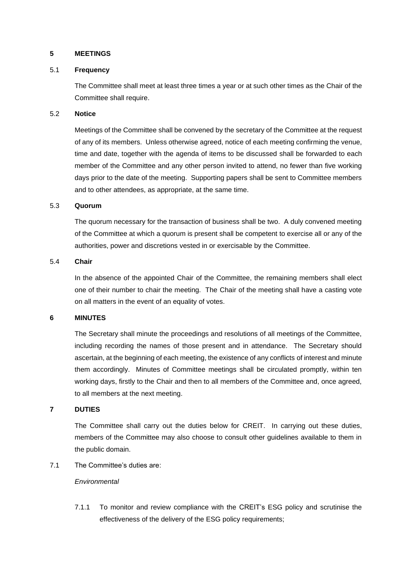## **5 MEETINGS**

## 5.1 **Frequency**

The Committee shall meet at least three times a year or at such other times as the Chair of the Committee shall require.

## 5.2 **Notice**

Meetings of the Committee shall be convened by the secretary of the Committee at the request of any of its members. Unless otherwise agreed, notice of each meeting confirming the venue, time and date, together with the agenda of items to be discussed shall be forwarded to each member of the Committee and any other person invited to attend, no fewer than five working days prior to the date of the meeting. Supporting papers shall be sent to Committee members and to other attendees, as appropriate, at the same time.

#### 5.3 **Quorum**

The quorum necessary for the transaction of business shall be two. A duly convened meeting of the Committee at which a quorum is present shall be competent to exercise all or any of the authorities, power and discretions vested in or exercisable by the Committee.

## 5.4 **Chair**

In the absence of the appointed Chair of the Committee, the remaining members shall elect one of their number to chair the meeting. The Chair of the meeting shall have a casting vote on all matters in the event of an equality of votes.

## **6 MINUTES**

The Secretary shall minute the proceedings and resolutions of all meetings of the Committee, including recording the names of those present and in attendance. The Secretary should ascertain, at the beginning of each meeting, the existence of any conflicts of interest and minute them accordingly. Minutes of Committee meetings shall be circulated promptly, within ten working days, firstly to the Chair and then to all members of the Committee and, once agreed, to all members at the next meeting.

# **7 DUTIES**

The Committee shall carry out the duties below for CREIT. In carrying out these duties, members of the Committee may also choose to consult other guidelines available to them in the public domain.

7.1 The Committee's duties are:

## *Environmental*

7.1.1 To monitor and review compliance with the CREIT's ESG policy and scrutinise the effectiveness of the delivery of the ESG policy requirements;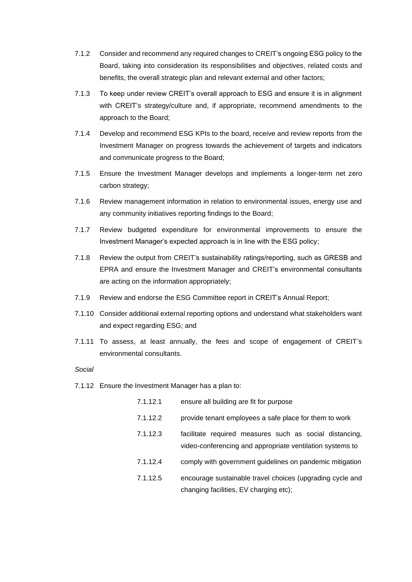- 7.1.2 Consider and recommend any required changes to CREIT's ongoing ESG policy to the Board, taking into consideration its responsibilities and objectives, related costs and benefits, the overall strategic plan and relevant external and other factors;
- 7.1.3 To keep under review CREIT's overall approach to ESG and ensure it is in alignment with CREIT's strategy/culture and, if appropriate, recommend amendments to the approach to the Board;
- 7.1.4 Develop and recommend ESG KPIs to the board, receive and review reports from the Investment Manager on progress towards the achievement of targets and indicators and communicate progress to the Board;
- 7.1.5 Ensure the Investment Manager develops and implements a longer-term net zero carbon strategy;
- 7.1.6 Review management information in relation to environmental issues, energy use and any community initiatives reporting findings to the Board;
- 7.1.7 Review budgeted expenditure for environmental improvements to ensure the Investment Manager's expected approach is in line with the ESG policy;
- 7.1.8 Review the output from CREIT's sustainability ratings/reporting, such as GRESB and EPRA and ensure the Investment Manager and CREIT's environmental consultants are acting on the information appropriately;
- 7.1.9 Review and endorse the ESG Committee report in CREIT's Annual Report;
- 7.1.10 Consider additional external reporting options and understand what stakeholders want and expect regarding ESG; and
- 7.1.11 To assess, at least annually, the fees and scope of engagement of CREIT's environmental consultants.

#### *Social*

- 7.1.12 Ensure the Investment Manager has a plan to:
	- 7.1.12.1 ensure all building are fit for purpose
	- 7.1.12.2 provide tenant employees a safe place for them to work
	- 7.1.12.3 facilitate required measures such as social distancing, video-conferencing and appropriate ventilation systems to
	- 7.1.12.4 comply with government guidelines on pandemic mitigation
	- 7.1.12.5 encourage sustainable travel choices (upgrading cycle and changing facilities, EV charging etc);